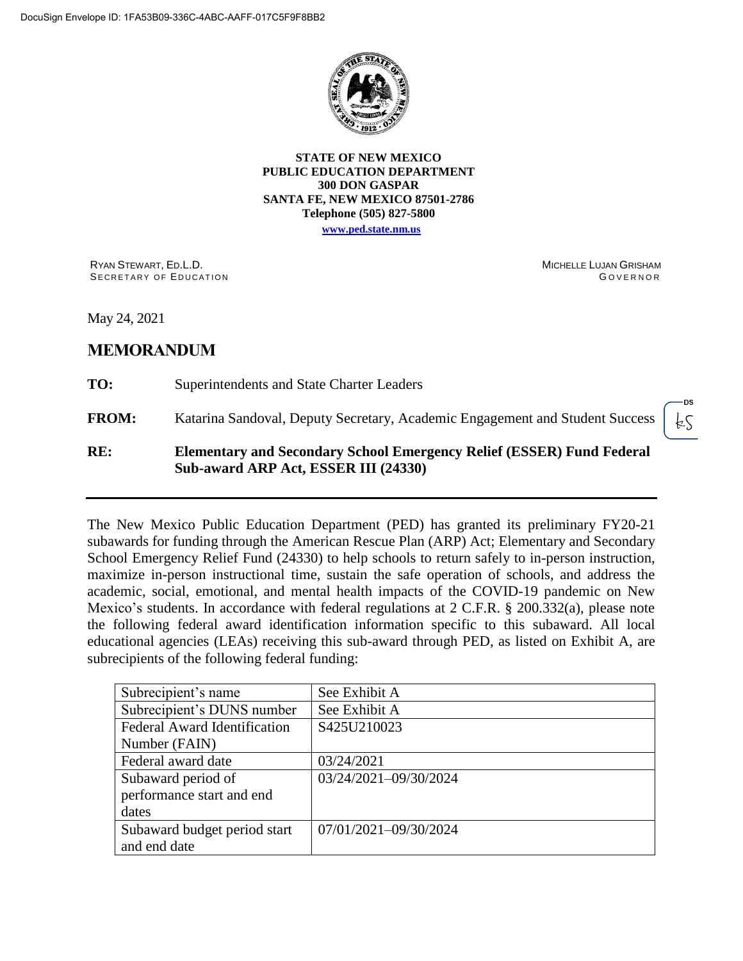

**STATE OF NEW MEXICO PUBLIC EDUCATION DEPARTMENT 300 DON GASPAR SANTA FE, NEW MEXICO 87501-2786 Telephone (505) 827-5800**

**www.ped.state.nm.us**

RYAN STEWART, ED.L.D. SECRETARY OF EDUCATION MICHELLE LUJAN GRISHAM **GOVERNOR** 

fζ

May 24, 2021

## **MEMORANDUM**

**TO:** Superintendents and State Charter Leaders

**FROM:** Katarina Sandoval, Deputy Secretary, Academic Engagement and Student Success

#### **RE: Elementary and Secondary School Emergency Relief (ESSER) Fund Federal Sub-award ARP Act, ESSER III (24330)**

The New Mexico Public Education Department (PED) has granted its preliminary FY20-21 subawards for funding through the American Rescue Plan (ARP) Act; Elementary and Secondary School Emergency Relief Fund (24330) to help schools to return safely to in-person instruction, maximize in-person instructional time, sustain the safe operation of schools, and address the academic, social, emotional, and mental health impacts of the COVID-19 pandemic on New Mexico's students. In accordance with federal regulations at 2 C.F.R. § 200.332(a), please note the following federal award identification information specific to this subaward. All local educational agencies (LEAs) receiving this sub-award through PED, as listed on Exhibit A, are subrecipients of the following federal funding:

| Subrecipient's name                 | See Exhibit A         |
|-------------------------------------|-----------------------|
| Subrecipient's DUNS number          | See Exhibit A         |
| <b>Federal Award Identification</b> | S425U210023           |
| Number (FAIN)                       |                       |
| Federal award date                  | 03/24/2021            |
| Subaward period of                  | 03/24/2021-09/30/2024 |
| performance start and end           |                       |
| dates                               |                       |
| Subaward budget period start        | 07/01/2021-09/30/2024 |
| and end date                        |                       |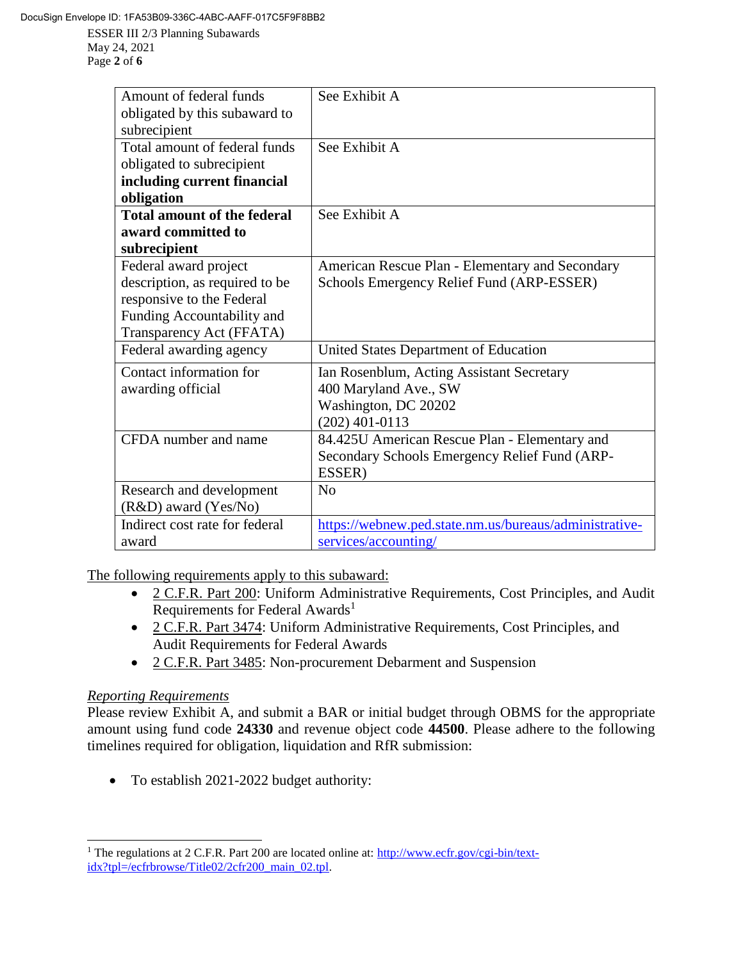ESSER III 2/3 Planning Subawards May 24, 2021 Page **2** of **6**

| Amount of federal funds            | See Exhibit A                                          |
|------------------------------------|--------------------------------------------------------|
| obligated by this subaward to      |                                                        |
|                                    |                                                        |
| subrecipient                       |                                                        |
| Total amount of federal funds      | See Exhibit A                                          |
| obligated to subrecipient          |                                                        |
| including current financial        |                                                        |
| obligation                         |                                                        |
| <b>Total amount of the federal</b> | See Exhibit A                                          |
| award committed to                 |                                                        |
| subrecipient                       |                                                        |
| Federal award project              | American Rescue Plan - Elementary and Secondary        |
| description, as required to be     | Schools Emergency Relief Fund (ARP-ESSER)              |
| responsive to the Federal          |                                                        |
| Funding Accountability and         |                                                        |
| Transparency Act (FFATA)           |                                                        |
| Federal awarding agency            | United States Department of Education                  |
| Contact information for            | Ian Rosenblum, Acting Assistant Secretary              |
| awarding official                  | 400 Maryland Ave., SW                                  |
|                                    | Washington, DC 20202                                   |
|                                    | $(202)$ 401-0113                                       |
| CFDA number and name               | 84.425U American Rescue Plan - Elementary and          |
|                                    | Secondary Schools Emergency Relief Fund (ARP-          |
|                                    | ESSER)                                                 |
| Research and development           | No                                                     |
|                                    |                                                        |
| (R&D) award (Yes/No)               |                                                        |
| Indirect cost rate for federal     | https://webnew.ped.state.nm.us/bureaus/administrative- |
| award                              | services/accounting/                                   |

The following requirements apply to this subaward:

- 2 C.F.R. Part 200: Uniform Administrative Requirements, Cost Principles, and Audit Requirements for Federal Awards<sup>1</sup>
- 2 C.F.R. Part 3474: Uniform Administrative Requirements, Cost Principles, and Audit Requirements for Federal Awards
- 2 C.F.R. Part 3485: Non-procurement Debarment and Suspension

# *Reporting Requirements*

Please review Exhibit A, and submit a BAR or initial budget through OBMS for the appropriate amount using fund code **24330** and revenue object code **44500**. Please adhere to the following timelines required for obligation, liquidation and RfR submission:

To establish 2021-2022 budget authority:

 $\overline{a}$ <sup>1</sup> The regulations at 2 C.F.R. Part 200 are located online at: http://www.ecfr.gov/cgi-bin/textidx?tpl=/ecfrbrowse/Title02/2cfr200\_main\_02.tpl.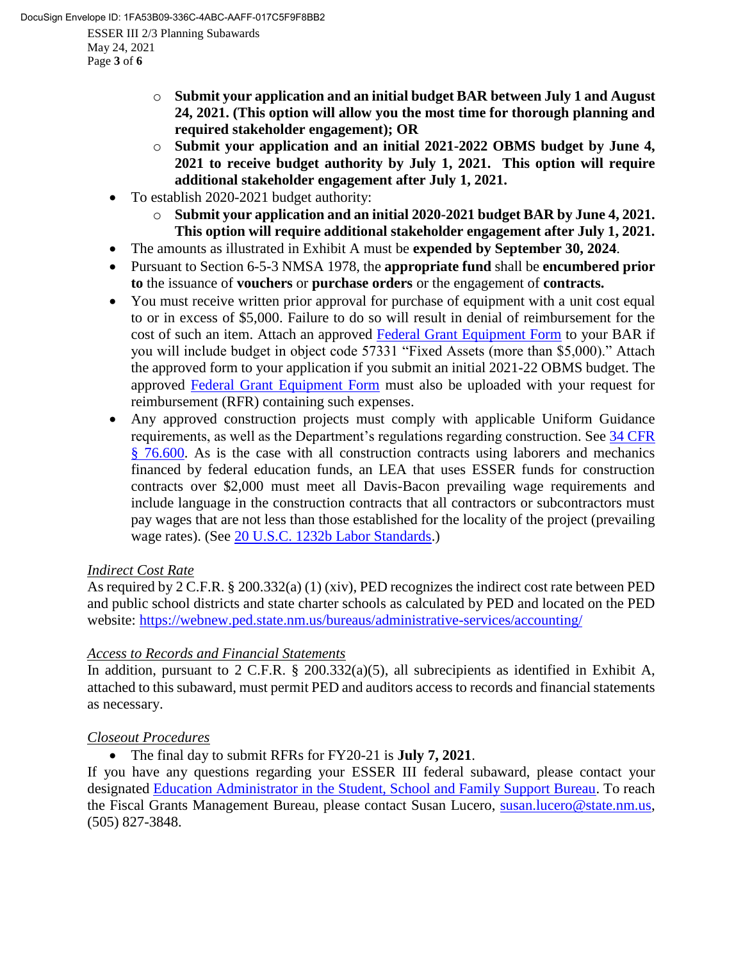May 24, 2021 Page **3** of **6**

- o **Submit your application and an initial budget BAR between July 1 and August 24, 2021. (This option will allow you the most time for thorough planning and required stakeholder engagement); OR**
- o **Submit your application and an initial 2021-2022 OBMS budget by June 4, 2021 to receive budget authority by July 1, 2021. This option will require additional stakeholder engagement after July 1, 2021.**
- To establish 2020-2021 budget authority:
	- o **Submit your application and an initial 2020-2021 budget BAR by June 4, 2021. This option will require additional stakeholder engagement after July 1, 2021.**
- The amounts as illustrated in Exhibit A must be **expended by September 30, 2024**.
- Pursuant to Section 6-5-3 NMSA 1978, the **appropriate fund** shall be **encumbered prior to** the issuance of **vouchers** or **purchase orders** or the engagement of **contracts.**
- You must receive written prior approval for purchase of equipment with a unit cost equal to or in excess of \$5,000. Failure to do so will result in denial of reimbursement for the cost of such an item. Attach an approved Federal Grant Equipment Form to your BAR if you will include budget in object code 57331 "Fixed Assets (more than \$5,000)." Attach the approved form to your application if you submit an initial 2021-22 OBMS budget. The approved Federal Grant Equipment Form must also be uploaded with your request for reimbursement (RFR) containing such expenses.
- Any approved construction projects must comply with applicable Uniform Guidance requirements, as well as the Department's regulations regarding construction. See 34 CFR § 76.600. As is the case with all construction contracts using laborers and mechanics financed by federal education funds, an LEA that uses ESSER funds for construction contracts over \$2,000 must meet all Davis-Bacon prevailing wage requirements and include language in the construction contracts that all contractors or subcontractors must pay wages that are not less than those established for the locality of the project (prevailing wage rates). (See 20 U.S.C. 1232b Labor Standards.)

# *Indirect Cost Rate*

As required by 2 C.F.R. § 200.332(a) (1) (xiv), PED recognizes the indirect cost rate between PED and public school districts and state charter schools as calculated by PED and located on the PED website: https://webnew.ped.state.nm.us/bureaus/administrative-services/accounting/

# *Access to Records and Financial Statements*

In addition, pursuant to 2 C.F.R. § 200.332(a)(5), all subrecipients as identified in Exhibit A, attached to this subaward, must permit PED and auditors access to records and financial statements as necessary.

## *Closeout Procedures*

The final day to submit RFRs for FY20-21 is **July 7, 2021**.

If you have any questions regarding your ESSER III federal subaward, please contact your designated Education Administrator in the Student, School and Family Support Bureau. To reach the Fiscal Grants Management Bureau, please contact Susan Lucero, susan.lucero@state.nm.us, (505) 827-3848.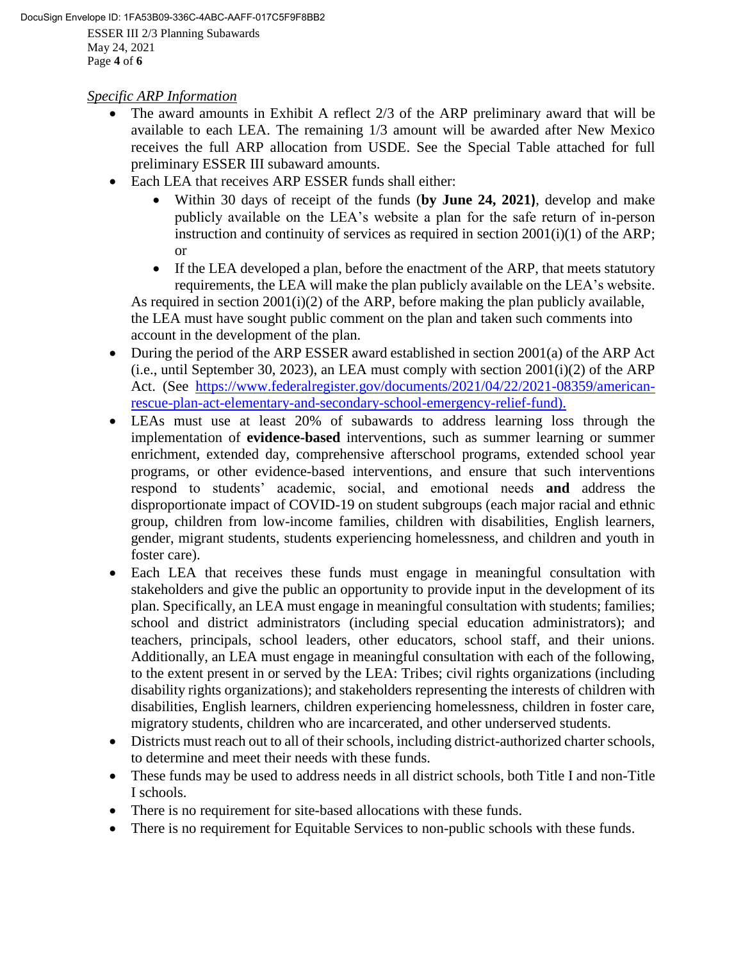### *Specific ARP Information*

- The award amounts in Exhibit A reflect 2/3 of the ARP preliminary award that will be available to each LEA. The remaining 1/3 amount will be awarded after New Mexico receives the full ARP allocation from USDE. See the Special Table attached for full preliminary ESSER III subaward amounts.
- Each LEA that receives ARP ESSER funds shall either:
	- Within 30 days of receipt of the funds (**by June 24, 2021)**, develop and make publicly available on the LEA's website a plan for the safe return of in-person instruction and continuity of services as required in section 2001(i)(1) of the ARP; or
	- If the LEA developed a plan, before the enactment of the ARP, that meets statutory requirements, the LEA will make the plan publicly available on the LEA's website. As required in section 2001(i)(2) of the ARP, before making the plan publicly available, the LEA must have sought public comment on the plan and taken such comments into account in the development of the plan.
- During the period of the ARP ESSER award established in section 2001(a) of the ARP Act (i.e., until September 30, 2023), an LEA must comply with section  $2001(i)(2)$  of the ARP Act. (See https://www.federalregister.gov/documents/2021/04/22/2021-08359/americanrescue-plan-act-elementary-and-secondary-school-emergency-relief-fund).
- LEAs must use at least 20% of subawards to address learning loss through the implementation of **evidence-based** interventions, such as summer learning or summer enrichment, extended day, comprehensive afterschool programs, extended school year programs, or other evidence-based interventions, and ensure that such interventions respond to students' academic, social, and emotional needs **and** address the disproportionate impact of COVID-19 on student subgroups (each major racial and ethnic group, children from low-income families, children with disabilities, English learners, gender, migrant students, students experiencing homelessness, and children and youth in foster care).
- Each LEA that receives these funds must engage in meaningful consultation with stakeholders and give the public an opportunity to provide input in the development of its plan. Specifically, an LEA must engage in meaningful consultation with students; families; school and district administrators (including special education administrators); and teachers, principals, school leaders, other educators, school staff, and their unions. Additionally, an LEA must engage in meaningful consultation with each of the following, to the extent present in or served by the LEA: Tribes; civil rights organizations (including disability rights organizations); and stakeholders representing the interests of children with disabilities, English learners, children experiencing homelessness, children in foster care, migratory students, children who are incarcerated, and other underserved students.
- Districts must reach out to all of their schools, including district-authorized charter schools, to determine and meet their needs with these funds.
- These funds may be used to address needs in all district schools, both Title I and non-Title I schools.
- There is no requirement for site-based allocations with these funds.
- There is no requirement for Equitable Services to non-public schools with these funds.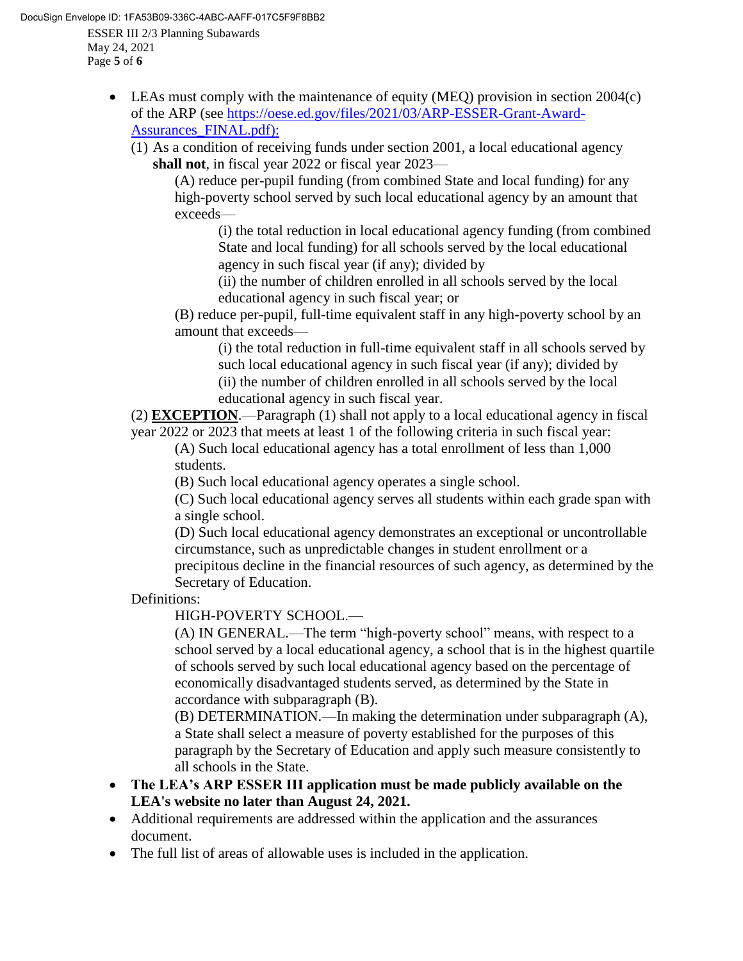ESSER III 2/3 Planning Subawards May 24, 2021 Page **5** of **6** DocuSign Envelope ID: 1FA53B09-336C-4ABC-AAFF-017C5F9F8BB2

- LEAs must comply with the maintenance of equity (MEQ) provision in section 2004(c) of the ARP (see https://oese.ed.gov/files/2021/03/ARP-ESSER-Grant-Award-Assurances\_FINAL.pdf):
	- (1) As a condition of receiving funds under section 2001, a local educational agency **shall not**, in fiscal year 2022 or fiscal year 2023—

(A) reduce per-pupil funding (from combined State and local funding) for any high-poverty school served by such local educational agency by an amount that exceeds—

(i) the total reduction in local educational agency funding (from combined State and local funding) for all schools served by the local educational agency in such fiscal year (if any); divided by

(ii) the number of children enrolled in all schools served by the local educational agency in such fiscal year; or

(B) reduce per-pupil, full-time equivalent staff in any high-poverty school by an amount that exceeds—

(i) the total reduction in full-time equivalent staff in all schools served by such local educational agency in such fiscal year (if any); divided by (ii) the number of children enrolled in all schools served by the local educational agency in such fiscal year.

(2) **EXCEPTION**.—Paragraph (1) shall not apply to a local educational agency in fiscal year 2022 or 2023 that meets at least 1 of the following criteria in such fiscal year:

(A) Such local educational agency has a total enrollment of less than 1,000 students.

(B) Such local educational agency operates a single school.

(C) Such local educational agency serves all students within each grade span with a single school.

(D) Such local educational agency demonstrates an exceptional or uncontrollable circumstance, such as unpredictable changes in student enrollment or a precipitous decline in the financial resources of such agency, as determined by the Secretary of Education.

Definitions:

HIGH-POVERTY SCHOOL.—

(A) IN GENERAL.—The term "high-poverty school" means, with respect to a school served by a local educational agency, a school that is in the highest quartile of schools served by such local educational agency based on the percentage of economically disadvantaged students served, as determined by the State in accordance with subparagraph (B).

(B) DETERMINATION.—In making the determination under subparagraph (A), a State shall select a measure of poverty established for the purposes of this paragraph by the Secretary of Education and apply such measure consistently to all schools in the State.

- **The LEA's ARP ESSER III application must be made publicly available on the LEA's website no later than August 24, 2021.**
- Additional requirements are addressed within the application and the assurances document.
- The full list of areas of allowable uses is included in the application.